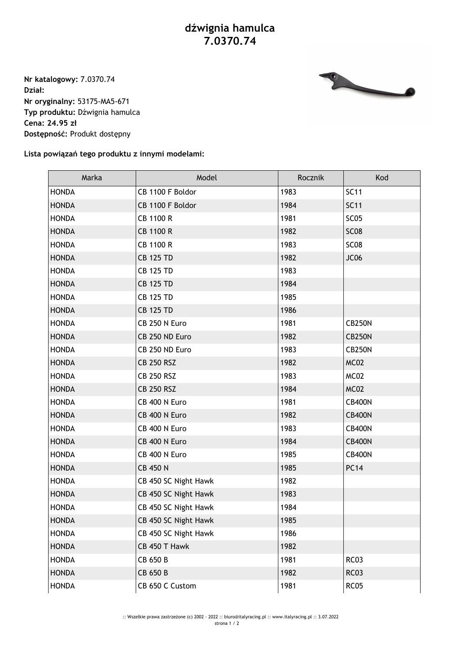## **dźwignia hamulca 7.0370.74**

**Nr katalogowy:** 7.0370.74 **Dział: Nr oryginalny:** 53175-MA5-671 **Typ produktu:** Dźwignia hamulca **Cena: 24.95 zł Dostępność:** Produkt dostępny



## **Lista powiązań tego produktu z innymi modelami:**

| Marka        | Model                | Rocznik | Kod              |
|--------------|----------------------|---------|------------------|
| <b>HONDA</b> | CB 1100 F Boldor     | 1983    | <b>SC11</b>      |
| <b>HONDA</b> | CB 1100 F Boldor     | 1984    | <b>SC11</b>      |
| <b>HONDA</b> | CB 1100 R            | 1981    | SC <sub>05</sub> |
| <b>HONDA</b> | <b>CB 1100 R</b>     | 1982    | <b>SC08</b>      |
| <b>HONDA</b> | CB 1100 R            | 1983    | <b>SC08</b>      |
| <b>HONDA</b> | <b>CB 125 TD</b>     | 1982    | JC06             |
| <b>HONDA</b> | <b>CB 125 TD</b>     | 1983    |                  |
| <b>HONDA</b> | <b>CB 125 TD</b>     | 1984    |                  |
| <b>HONDA</b> | <b>CB 125 TD</b>     | 1985    |                  |
| <b>HONDA</b> | <b>CB 125 TD</b>     | 1986    |                  |
| <b>HONDA</b> | CB 250 N Euro        | 1981    | <b>CB250N</b>    |
| <b>HONDA</b> | CB 250 ND Euro       | 1982    | <b>CB250N</b>    |
| <b>HONDA</b> | CB 250 ND Euro       | 1983    | <b>CB250N</b>    |
| <b>HONDA</b> | <b>CB 250 RSZ</b>    | 1982    | MC02             |
| <b>HONDA</b> | <b>CB 250 RSZ</b>    | 1983    | MC02             |
| <b>HONDA</b> | <b>CB 250 RSZ</b>    | 1984    | MC02             |
| <b>HONDA</b> | CB 400 N Euro        | 1981    | <b>CB400N</b>    |
| <b>HONDA</b> | CB 400 N Euro        | 1982    | <b>CB400N</b>    |
| <b>HONDA</b> | CB 400 N Euro        | 1983    | <b>CB400N</b>    |
| <b>HONDA</b> | CB 400 N Euro        | 1984    | <b>CB400N</b>    |
| <b>HONDA</b> | CB 400 N Euro        | 1985    | <b>CB400N</b>    |
| <b>HONDA</b> | <b>CB 450 N</b>      | 1985    | <b>PC14</b>      |
| <b>HONDA</b> | CB 450 SC Night Hawk | 1982    |                  |
| <b>HONDA</b> | CB 450 SC Night Hawk | 1983    |                  |
| <b>HONDA</b> | CB 450 SC Night Hawk | 1984    |                  |
| <b>HONDA</b> | CB 450 SC Night Hawk | 1985    |                  |
| <b>HONDA</b> | CB 450 SC Night Hawk | 1986    |                  |
| <b>HONDA</b> | CB 450 T Hawk        | 1982    |                  |
| <b>HONDA</b> | CB 650 B             | 1981    | <b>RC03</b>      |
| <b>HONDA</b> | CB 650 B             | 1982    | <b>RC03</b>      |
| <b>HONDA</b> | CB 650 C Custom      | 1981    | <b>RC05</b>      |